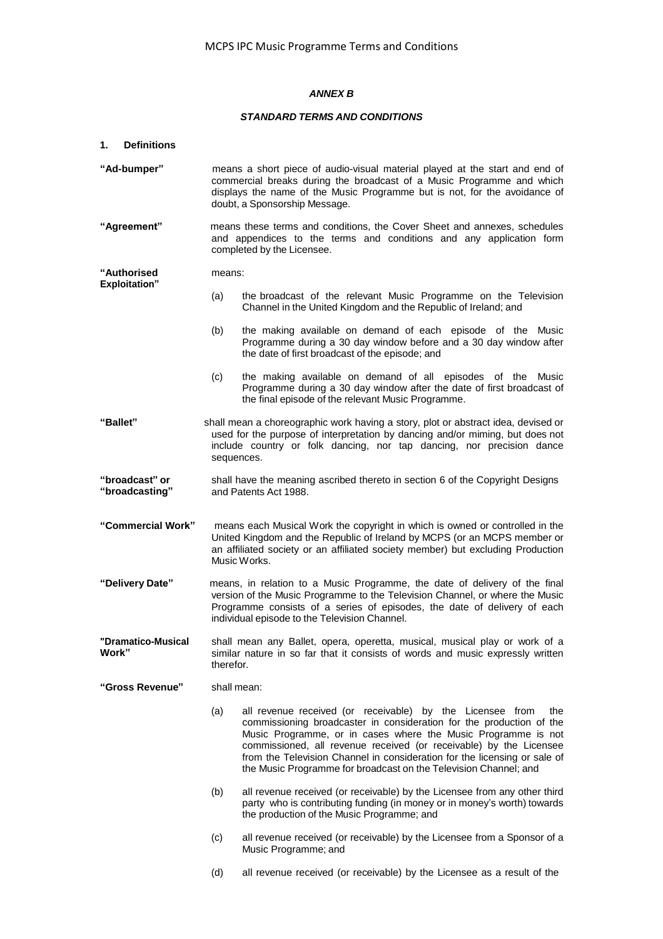# *ANNEX B*

## *STANDARD TERMS AND CONDITIONS*

| 1.<br><b>Definitions</b>                   |                                                                                                                                                                                                                                                                                         |                                                                                                                                                                                                                                                                                                                                                                                                                                  |  |
|--------------------------------------------|-----------------------------------------------------------------------------------------------------------------------------------------------------------------------------------------------------------------------------------------------------------------------------------------|----------------------------------------------------------------------------------------------------------------------------------------------------------------------------------------------------------------------------------------------------------------------------------------------------------------------------------------------------------------------------------------------------------------------------------|--|
| "Ad-bumper"                                | means a short piece of audio-visual material played at the start and end of<br>commercial breaks during the broadcast of a Music Programme and which<br>displays the name of the Music Programme but is not, for the avoidance of<br>doubt, a Sponsorship Message.                      |                                                                                                                                                                                                                                                                                                                                                                                                                                  |  |
| "Agreement"                                | means these terms and conditions, the Cover Sheet and annexes, schedules<br>and appendices to the terms and conditions and any application form<br>completed by the Licensee.                                                                                                           |                                                                                                                                                                                                                                                                                                                                                                                                                                  |  |
| <b>"Authorised</b><br><b>Exploitation"</b> | means:                                                                                                                                                                                                                                                                                  |                                                                                                                                                                                                                                                                                                                                                                                                                                  |  |
|                                            | (a)                                                                                                                                                                                                                                                                                     | the broadcast of the relevant Music Programme on the Television<br>Channel in the United Kingdom and the Republic of Ireland; and                                                                                                                                                                                                                                                                                                |  |
|                                            | (b)                                                                                                                                                                                                                                                                                     | the making available on demand of each episode of the Music<br>Programme during a 30 day window before and a 30 day window after<br>the date of first broadcast of the episode; and                                                                                                                                                                                                                                              |  |
|                                            | (c)                                                                                                                                                                                                                                                                                     | the making available on demand of all episodes of the Music<br>Programme during a 30 day window after the date of first broadcast of<br>the final episode of the relevant Music Programme.                                                                                                                                                                                                                                       |  |
| "Ballet"                                   | shall mean a choreographic work having a story, plot or abstract idea, devised or<br>used for the purpose of interpretation by dancing and/or miming, but does not<br>include country or folk dancing, nor tap dancing, nor precision dance<br>sequences.                               |                                                                                                                                                                                                                                                                                                                                                                                                                                  |  |
| "broadcast" or<br>"broadcasting"           | shall have the meaning ascribed thereto in section 6 of the Copyright Designs<br>and Patents Act 1988.                                                                                                                                                                                  |                                                                                                                                                                                                                                                                                                                                                                                                                                  |  |
| "Commercial Work"                          | means each Musical Work the copyright in which is owned or controlled in the<br>United Kingdom and the Republic of Ireland by MCPS (or an MCPS member or<br>an affiliated society or an affiliated society member) but excluding Production<br>Music Works.                             |                                                                                                                                                                                                                                                                                                                                                                                                                                  |  |
| "Delivery Date"                            | means, in relation to a Music Programme, the date of delivery of the final<br>version of the Music Programme to the Television Channel, or where the Music<br>Programme consists of a series of episodes, the date of delivery of each<br>individual episode to the Television Channel. |                                                                                                                                                                                                                                                                                                                                                                                                                                  |  |
| "Dramatico-Musical<br>Work"                | shall mean any Ballet, opera, operetta, musical, musical play or work of a<br>similar nature in so far that it consists of words and music expressly written<br>therefor.                                                                                                               |                                                                                                                                                                                                                                                                                                                                                                                                                                  |  |
| "Gross Revenue"                            | shall mean:                                                                                                                                                                                                                                                                             |                                                                                                                                                                                                                                                                                                                                                                                                                                  |  |
|                                            | (a)                                                                                                                                                                                                                                                                                     | all revenue received (or receivable) by the Licensee from<br>the<br>commissioning broadcaster in consideration for the production of the<br>Music Programme, or in cases where the Music Programme is not<br>commissioned, all revenue received (or receivable) by the Licensee<br>from the Television Channel in consideration for the licensing or sale of<br>the Music Programme for broadcast on the Television Channel; and |  |
|                                            | (b)                                                                                                                                                                                                                                                                                     | all revenue received (or receivable) by the Licensee from any other third<br>party who is contributing funding (in money or in money's worth) towards<br>the production of the Music Programme; and                                                                                                                                                                                                                              |  |
|                                            | (c)                                                                                                                                                                                                                                                                                     | all revenue received (or receivable) by the Licensee from a Sponsor of a<br>Music Programme; and                                                                                                                                                                                                                                                                                                                                 |  |
|                                            | (d)                                                                                                                                                                                                                                                                                     | all revenue received (or receivable) by the Licensee as a result of the                                                                                                                                                                                                                                                                                                                                                          |  |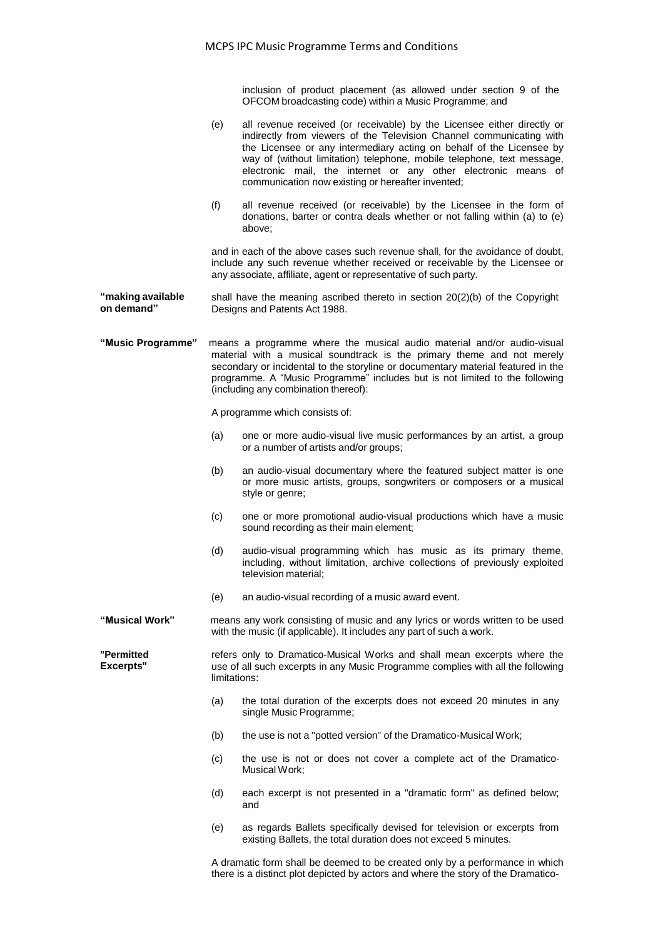inclusion of product placement (as allowed under section 9 of the OFCOM broadcasting code) within a Music Programme; and

- (e) all revenue received (or receivable) by the Licensee either directly or indirectly from viewers of the Television Channel communicating with the Licensee or any intermediary acting on behalf of the Licensee by way of (without limitation) telephone, mobile telephone, text message, electronic mail, the internet or any other electronic means of communication now existing or hereafter invented;
- (f) all revenue received (or receivable) by the Licensee in the form of donations, barter or contra deals whether or not falling within (a) to (e) above;

and in each of the above cases such revenue shall, for the avoidance of doubt, include any such revenue whether received or receivable by the Licensee or any associate, affiliate, agent or representative of such party.

- **"making available on demand"** shall have the meaning ascribed thereto in section 20(2)(b) of the Copyright Designs and Patents Act 1988.
- **"Music Programme"** means a programme where the musical audio material and/or audio-visual material with a musical soundtrack is the primary theme and not merely secondary or incidental to the storyline or documentary material featured in the programme. A "Music Programme" includes but is not limited to the following (including any combination thereof):

A programme which consists of:

- (a) one or more audio-visual live music performances by an artist, a group or a number of artists and/or groups;
- (b) an audio-visual documentary where the featured subject matter is one or more music artists, groups, songwriters or composers or a musical style or genre;
- (c) one or more promotional audio-visual productions which have a music sound recording as their main element;
- (d) audio-visual programming which has music as its primary theme, including, without limitation, archive collections of previously exploited television material;
- (e) an audio-visual recording of a music award event.

**"Musical Work"** means any work consisting of music and any lyrics or words written to be used with the music (if applicable). It includes any part of such a work.

**"Permitted Excerpts"** refers only to Dramatico-Musical Works and shall mean excerpts where the use of all such excerpts in any Music Programme complies with all the following limitations:

- (a) the total duration of the excerpts does not exceed 20 minutes in any single Music Programme;
- (b) the use is not a "potted version" of the Dramatico-Musical Work;
- (c) the use is not or does not cover a complete act of the Dramatico-Musical Work;
- (d) each excerpt is not presented in a "dramatic form" as defined below; and
- (e) as regards Ballets specifically devised for television or excerpts from existing Ballets, the total duration does not exceed 5 minutes.

A dramatic form shall be deemed to be created only by a performance in which there is a distinct plot depicted by actors and where the story of the Dramatico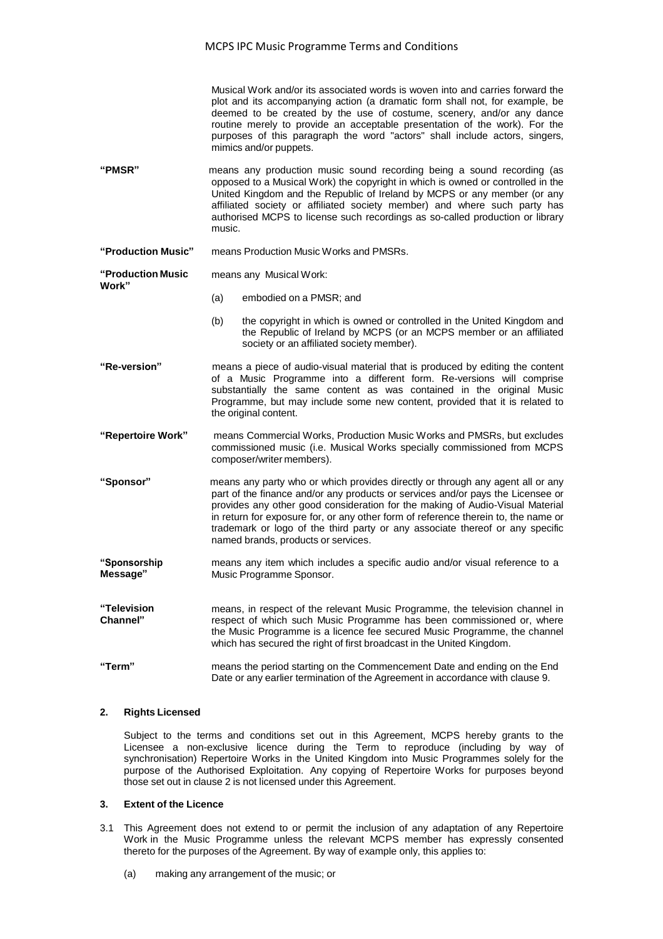Musical Work and/or its associated words is woven into and carries forward the plot and its accompanying action (a dramatic form shall not, for example, be deemed to be created by the use of costume, scenery, and/or any dance routine merely to provide an acceptable presentation of the work). For the purposes of this paragraph the word "actors" shall include actors, singers, mimics and/or puppets.

- **"PMSR"** means any production music sound recording being a sound recording (as opposed to a Musical Work) the copyright in which is owned or controlled in the United Kingdom and the Republic of Ireland by MCPS or any member (or any affiliated society or affiliated society member) and where such party has authorised MCPS to license such recordings as so-called production or library music.
- **"Production Music"** means Production Music Works and PMSRs.

**"Production Music Work"** means any Musical Work:

- (a) embodied on a PMSR; and
- (b) the copyright in which is owned or controlled in the United Kingdom and the Republic of Ireland by MCPS (or an MCPS member or an affiliated society or an affiliated society member).
- **"Re-version"** means a piece of audio-visual material that is produced by editing the content of a Music Programme into a different form. Re-versions will comprise substantially the same content as was contained in the original Music Programme, but may include some new content, provided that it is related to the original content.
- **"Repertoire Work"** means Commercial Works, Production Music Works and PMSRs, but excludes commissioned music (i.e. Musical Works specially commissioned from MCPS composer/writer members).
- **"Sponsor"** means any party who or which provides directly or through any agent all or any part of the finance and/or any products or services and/or pays the Licensee or provides any other good consideration for the making of Audio-Visual Material in return for exposure for, or any other form of reference therein to, the name or trademark or logo of the third party or any associate thereof or any specific named brands, products or services.
- **"Sponsorship Message"** means any item which includes a specific audio and/or visual reference to a Music Programme Sponsor.
- **"Television Channel"** means, in respect of the relevant Music Programme, the television channel in respect of which such Music Programme has been commissioned or, where the Music Programme is a licence fee secured Music Programme, the channel which has secured the right of first broadcast in the United Kingdom.
- **"Term"** means the period starting on the Commencement Date and ending on the End Date or any earlier termination of the Agreement in accordance with clause 9.

## **2. Rights Licensed**

Subject to the terms and conditions set out in this Agreement, MCPS hereby grants to the Licensee a non-exclusive licence during the Term to reproduce (including by way of synchronisation) Repertoire Works in the United Kingdom into Music Programmes solely for the purpose of the Authorised Exploitation. Any copying of Repertoire Works for purposes beyond those set out in clause 2 is not licensed under this Agreement.

#### **3. Extent of the Licence**

- 3.1 This Agreement does not extend to or permit the inclusion of any adaptation of any Repertoire Work in the Music Programme unless the relevant MCPS member has expressly consented thereto for the purposes of the Agreement. By way of example only, this applies to:
	- (a) making any arrangement of the music; or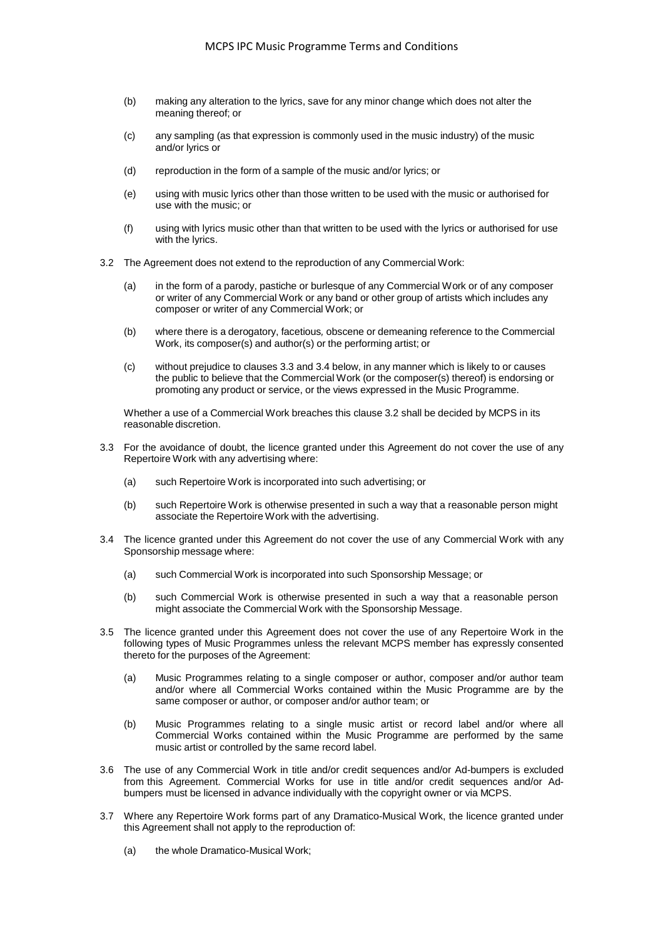- (b) making any alteration to the lyrics, save for any minor change which does not alter the meaning thereof; or
- (c) any sampling (as that expression is commonly used in the music industry) of the music and/or lyrics or
- (d) reproduction in the form of a sample of the music and/or lyrics; or
- (e) using with music lyrics other than those written to be used with the music or authorised for use with the music; or
- (f) using with lyrics music other than that written to be used with the lyrics or authorised for use with the lyrics.
- 3.2 The Agreement does not extend to the reproduction of any Commercial Work:
	- (a) in the form of a parody, pastiche or burlesque of any Commercial Work or of any composer or writer of any Commercial Work or any band or other group of artists which includes any composer or writer of any Commercial Work; or
	- (b) where there is a derogatory, facetious*,* obscene or demeaning reference to the Commercial Work, its composer(s) and author(s) or the performing artist; or
	- (c) without prejudice to clauses 3.3 and 3.4 below, in any manner which is likely to or causes the public to believe that the Commercial Work (or the composer(s) thereof) is endorsing or promoting any product or service, or the views expressed in the Music Programme.

Whether a use of a Commercial Work breaches this clause 3.2 shall be decided by MCPS in its reasonable discretion.

- 3.3 For the avoidance of doubt, the licence granted under this Agreement do not cover the use of any Repertoire Work with any advertising where:
	- (a) such Repertoire Work is incorporated into such advertising; or
	- (b) such Repertoire Work is otherwise presented in such a way that a reasonable person might associate the Repertoire Work with the advertising.
- 3.4 The licence granted under this Agreement do not cover the use of any Commercial Work with any Sponsorship message where:
	- (a) such Commercial Work is incorporated into such Sponsorship Message; or
	- (b) such Commercial Work is otherwise presented in such a way that a reasonable person might associate the Commercial Work with the Sponsorship Message.
- 3.5 The licence granted under this Agreement does not cover the use of any Repertoire Work in the following types of Music Programmes unless the relevant MCPS member has expressly consented thereto for the purposes of the Agreement:
	- (a) Music Programmes relating to a single composer or author, composer and/or author team and/or where all Commercial Works contained within the Music Programme are by the same composer or author, or composer and/or author team; or
	- (b) Music Programmes relating to a single music artist or record label and/or where all Commercial Works contained within the Music Programme are performed by the same music artist or controlled by the same record label.
- 3.6 The use of any Commercial Work in title and/or credit sequences and/or Ad-bumpers is excluded from this Agreement. Commercial Works for use in title and/or credit sequences and/or Adbumpers must be licensed in advance individually with the copyright owner or via MCPS.
- 3.7 Where any Repertoire Work forms part of any Dramatico-Musical Work, the licence granted under this Agreement shall not apply to the reproduction of:
	- (a) the whole Dramatico-Musical Work;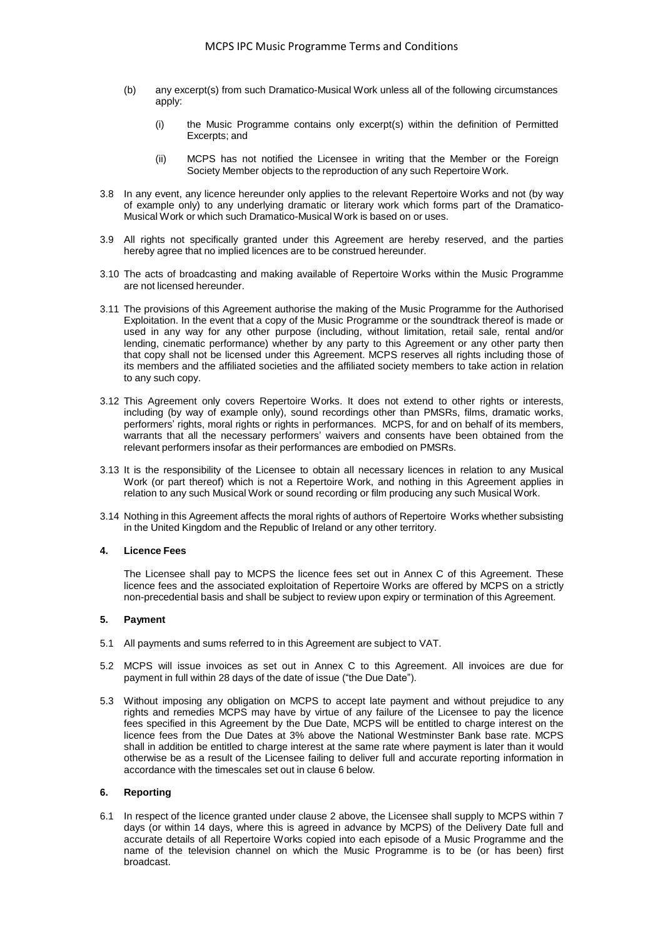- (b) any excerpt(s) from such Dramatico-Musical Work unless all of the following circumstances apply:
	- (i) the Music Programme contains only excerpt(s) within the definition of Permitted Excerpts; and
	- (ii) MCPS has not notified the Licensee in writing that the Member or the Foreign Society Member objects to the reproduction of any such Repertoire Work.
- 3.8 In any event, any licence hereunder only applies to the relevant Repertoire Works and not (by way of example only) to any underlying dramatic or literary work which forms part of the Dramatico-Musical Work or which such Dramatico-Musical Work is based on or uses.
- 3.9 All rights not specifically granted under this Agreement are hereby reserved, and the parties hereby agree that no implied licences are to be construed hereunder.
- 3.10 The acts of broadcasting and making available of Repertoire Works within the Music Programme are not licensed hereunder.
- 3.11 The provisions of this Agreement authorise the making of the Music Programme for the Authorised Exploitation. In the event that a copy of the Music Programme or the soundtrack thereof is made or used in any way for any other purpose (including, without limitation, retail sale, rental and/or lending, cinematic performance) whether by any party to this Agreement or any other party then that copy shall not be licensed under this Agreement. MCPS reserves all rights including those of its members and the affiliated societies and the affiliated society members to take action in relation to any such copy.
- 3.12 This Agreement only covers Repertoire Works. It does not extend to other rights or interests, including (by way of example only), sound recordings other than PMSRs, films, dramatic works, performers' rights, moral rights or rights in performances. MCPS, for and on behalf of its members, warrants that all the necessary performers' waivers and consents have been obtained from the relevant performers insofar as their performances are embodied on PMSRs.
- 3.13 It is the responsibility of the Licensee to obtain all necessary licences in relation to any Musical Work (or part thereof) which is not a Repertoire Work, and nothing in this Agreement applies in relation to any such Musical Work or sound recording or film producing any such Musical Work.
- 3.14 Nothing in this Agreement affects the moral rights of authors of Repertoire Works whether subsisting in the United Kingdom and the Republic of Ireland or any other territory.

## **4. Licence Fees**

The Licensee shall pay to MCPS the licence fees set out in Annex C of this Agreement. These licence fees and the associated exploitation of Repertoire Works are offered by MCPS on a strictly non-precedential basis and shall be subject to review upon expiry or termination of this Agreement.

## **5. Payment**

- 5.1 All payments and sums referred to in this Agreement are subject to VAT.
- 5.2 MCPS will issue invoices as set out in Annex C to this Agreement. All invoices are due for payment in full within 28 days of the date of issue ("the Due Date").
- 5.3 Without imposing any obligation on MCPS to accept late payment and without prejudice to any rights and remedies MCPS may have by virtue of any failure of the Licensee to pay the licence fees specified in this Agreement by the Due Date, MCPS will be entitled to charge interest on the licence fees from the Due Dates at 3% above the National Westminster Bank base rate. MCPS shall in addition be entitled to charge interest at the same rate where payment is later than it would otherwise be as a result of the Licensee failing to deliver full and accurate reporting information in accordance with the timescales set out in clause 6 below.

## **6. Reporting**

6.1 In respect of the licence granted under clause 2 above, the Licensee shall supply to MCPS within 7 days (or within 14 days, where this is agreed in advance by MCPS) of the Delivery Date full and accurate details of all Repertoire Works copied into each episode of a Music Programme and the name of the television channel on which the Music Programme is to be (or has been) first broadcast.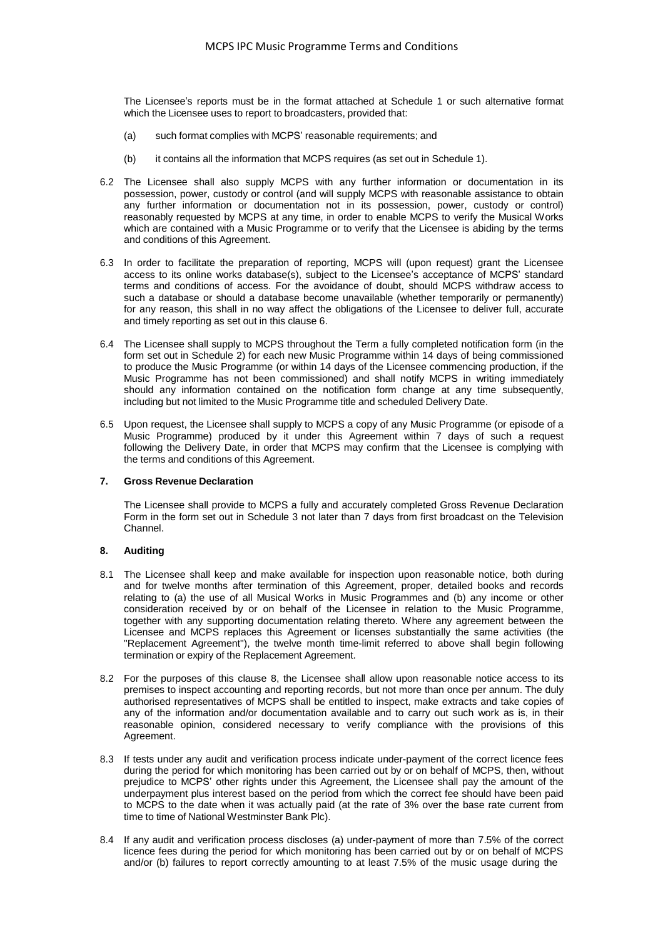The Licensee's reports must be in the format attached at Schedule 1 or such alternative format which the Licensee uses to report to broadcasters, provided that:

- (a) such format complies with MCPS' reasonable requirements; and
- (b) it contains all the information that MCPS requires (as set out in Schedule 1).
- 6.2 The Licensee shall also supply MCPS with any further information or documentation in its possession, power, custody or control (and will supply MCPS with reasonable assistance to obtain any further information or documentation not in its possession, power, custody or control) reasonably requested by MCPS at any time, in order to enable MCPS to verify the Musical Works which are contained with a Music Programme or to verify that the Licensee is abiding by the terms and conditions of this Agreement.
- 6.3 In order to facilitate the preparation of reporting, MCPS will (upon request) grant the Licensee access to its online works database(s), subject to the Licensee's acceptance of MCPS' standard terms and conditions of access. For the avoidance of doubt, should MCPS withdraw access to such a database or should a database become unavailable (whether temporarily or permanently) for any reason, this shall in no way affect the obligations of the Licensee to deliver full, accurate and timely reporting as set out in this clause 6.
- 6.4 The Licensee shall supply to MCPS throughout the Term a fully completed notification form (in the form set out in Schedule 2) for each new Music Programme within 14 days of being commissioned to produce the Music Programme (or within 14 days of the Licensee commencing production, if the Music Programme has not been commissioned) and shall notify MCPS in writing immediately should any information contained on the notification form change at any time subsequently, including but not limited to the Music Programme title and scheduled Delivery Date.
- 6.5 Upon request, the Licensee shall supply to MCPS a copy of any Music Programme (or episode of a Music Programme) produced by it under this Agreement within 7 days of such a request following the Delivery Date, in order that MCPS may confirm that the Licensee is complying with the terms and conditions of this Agreement.

## **7. Gross Revenue Declaration**

The Licensee shall provide to MCPS a fully and accurately completed Gross Revenue Declaration Form in the form set out in Schedule 3 not later than 7 days from first broadcast on the Television Channel.

## **8. Auditing**

- 8.1 The Licensee shall keep and make available for inspection upon reasonable notice, both during and for twelve months after termination of this Agreement, proper, detailed books and records relating to (a) the use of all Musical Works in Music Programmes and (b) any income or other consideration received by or on behalf of the Licensee in relation to the Music Programme, together with any supporting documentation relating thereto. Where any agreement between the Licensee and MCPS replaces this Agreement or licenses substantially the same activities (the "Replacement Agreement"), the twelve month time-limit referred to above shall begin following termination or expiry of the Replacement Agreement.
- 8.2 For the purposes of this clause 8, the Licensee shall allow upon reasonable notice access to its premises to inspect accounting and reporting records, but not more than once per annum. The duly authorised representatives of MCPS shall be entitled to inspect, make extracts and take copies of any of the information and/or documentation available and to carry out such work as is, in their reasonable opinion, considered necessary to verify compliance with the provisions of this Agreement.
- 8.3 If tests under any audit and verification process indicate under-payment of the correct licence fees during the period for which monitoring has been carried out by or on behalf of MCPS, then, without prejudice to MCPS' other rights under this Agreement, the Licensee shall pay the amount of the underpayment plus interest based on the period from which the correct fee should have been paid to MCPS to the date when it was actually paid (at the rate of 3% over the base rate current from time to time of National Westminster Bank Plc).
- 8.4 If any audit and verification process discloses (a) under-payment of more than 7.5% of the correct licence fees during the period for which monitoring has been carried out by or on behalf of MCPS and/or (b) failures to report correctly amounting to at least 7.5% of the music usage during the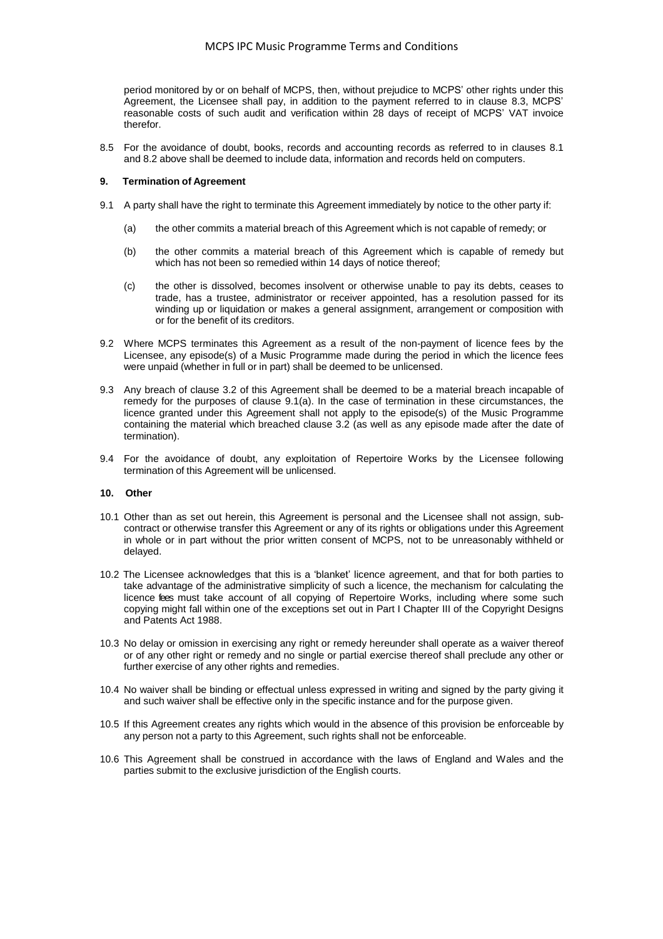period monitored by or on behalf of MCPS, then, without prejudice to MCPS' other rights under this Agreement, the Licensee shall pay, in addition to the payment referred to in clause 8.3, MCPS' reasonable costs of such audit and verification within 28 days of receipt of MCPS' VAT invoice therefor.

8.5 For the avoidance of doubt, books, records and accounting records as referred to in clauses 8.1 and 8.2 above shall be deemed to include data, information and records held on computers.

#### **9. Termination of Agreement**

- 9.1 A party shall have the right to terminate this Agreement immediately by notice to the other party if:
	- (a) the other commits a material breach of this Agreement which is not capable of remedy; or
	- (b) the other commits a material breach of this Agreement which is capable of remedy but which has not been so remedied within 14 days of notice thereof;
	- (c) the other is dissolved, becomes insolvent or otherwise unable to pay its debts, ceases to trade, has a trustee, administrator or receiver appointed, has a resolution passed for its winding up or liquidation or makes a general assignment, arrangement or composition with or for the benefit of its creditors.
- 9.2 Where MCPS terminates this Agreement as a result of the non-payment of licence fees by the Licensee, any episode(s) of a Music Programme made during the period in which the licence fees were unpaid (whether in full or in part) shall be deemed to be unlicensed.
- 9.3 Any breach of clause 3.2 of this Agreement shall be deemed to be a material breach incapable of remedy for the purposes of clause 9.1(a). In the case of termination in these circumstances, the licence granted under this Agreement shall not apply to the episode(s) of the Music Programme containing the material which breached clause 3.2 (as well as any episode made after the date of termination).
- 9.4 For the avoidance of doubt, any exploitation of Repertoire Works by the Licensee following termination of this Agreement will be unlicensed.

#### **10. Other**

- 10.1 Other than as set out herein, this Agreement is personal and the Licensee shall not assign, subcontract or otherwise transfer this Agreement or any of its rights or obligations under this Agreement in whole or in part without the prior written consent of MCPS, not to be unreasonably withheld or delayed.
- 10.2 The Licensee acknowledges that this is a 'blanket' licence agreement, and that for both parties to take advantage of the administrative simplicity of such a licence, the mechanism for calculating the licence fees must take account of all copying of Repertoire Works, including where some such copying might fall within one of the exceptions set out in Part I Chapter III of the Copyright Designs and Patents Act 1988.
- 10.3 No delay or omission in exercising any right or remedy hereunder shall operate as a waiver thereof or of any other right or remedy and no single or partial exercise thereof shall preclude any other or further exercise of any other rights and remedies.
- 10.4 No waiver shall be binding or effectual unless expressed in writing and signed by the party giving it and such waiver shall be effective only in the specific instance and for the purpose given.
- 10.5 If this Agreement creates any rights which would in the absence of this provision be enforceable by any person not a party to this Agreement, such rights shall not be enforceable.
- 10.6 This Agreement shall be construed in accordance with the laws of England and Wales and the parties submit to the exclusive jurisdiction of the English courts.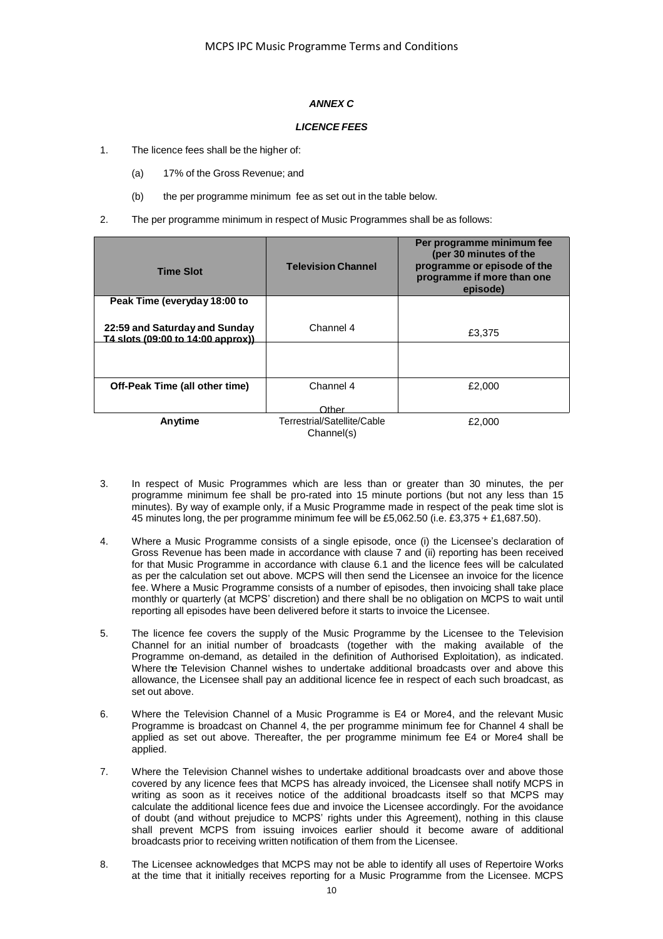## *ANNEX C*

## *LICENCE FEES*

- 1. The licence fees shall be the higher of:
	- (a) 17% of the Gross Revenue; and
	- (b) the per programme minimum fee as set out in the table below.
- 2. The per programme minimum in respect of Music Programmes shall be as follows:

| <b>Time Slot</b>                                                    | <b>Television Channel</b>                 | Per programme minimum fee<br>(per 30 minutes of the<br>programme or episode of the<br>programme if more than one<br>episode) |
|---------------------------------------------------------------------|-------------------------------------------|------------------------------------------------------------------------------------------------------------------------------|
| Peak Time (everyday 18:00 to                                        |                                           |                                                                                                                              |
| 22:59 and Saturday and Sunday<br>T4 slots (09:00 to 14:00 approx)). | Channel 4                                 | £3,375                                                                                                                       |
|                                                                     |                                           |                                                                                                                              |
| Off-Peak Time (all other time)                                      | Channel 4                                 | £2,000                                                                                                                       |
|                                                                     | ∩ther                                     |                                                                                                                              |
| Anytime                                                             | Terrestrial/Satellite/Cable<br>Channel(s) | £2,000                                                                                                                       |

- 3. In respect of Music Programmes which are less than or greater than 30 minutes, the per programme minimum fee shall be pro-rated into 15 minute portions (but not any less than 15 minutes). By way of example only, if a Music Programme made in respect of the peak time slot is 45 minutes long, the per programme minimum fee will be £5,062.50 (i.e. £3,375 + £1,687.50).
- 4. Where a Music Programme consists of a single episode, once (i) the Licensee's declaration of Gross Revenue has been made in accordance with clause 7 and (ii) reporting has been received for that Music Programme in accordance with clause 6.1 and the licence fees will be calculated as per the calculation set out above. MCPS will then send the Licensee an invoice for the licence fee. Where a Music Programme consists of a number of episodes, then invoicing shall take place monthly or quarterly (at MCPS' discretion) and there shall be no obligation on MCPS to wait until reporting all episodes have been delivered before it starts to invoice the Licensee.
- 5. The licence fee covers the supply of the Music Programme by the Licensee to the Television Channel for an initial number of broadcasts (together with the making available of the Programme on-demand, as detailed in the definition of Authorised Exploitation), as indicated. Where the Television Channel wishes to undertake additional broadcasts over and above this allowance, the Licensee shall pay an additional licence fee in respect of each such broadcast, as set out above.
- 6. Where the Television Channel of a Music Programme is E4 or More4, and the relevant Music Programme is broadcast on Channel 4, the per programme minimum fee for Channel 4 shall be applied as set out above. Thereafter, the per programme minimum fee E4 or More4 shall be applied.
- 7. Where the Television Channel wishes to undertake additional broadcasts over and above those covered by any licence fees that MCPS has already invoiced, the Licensee shall notify MCPS in writing as soon as it receives notice of the additional broadcasts itself so that MCPS may calculate the additional licence fees due and invoice the Licensee accordingly. For the avoidance of doubt (and without prejudice to MCPS' rights under this Agreement), nothing in this clause shall prevent MCPS from issuing invoices earlier should it become aware of additional broadcasts prior to receiving written notification of them from the Licensee.
- 8. The Licensee acknowledges that MCPS may not be able to identify all uses of Repertoire Works at the time that it initially receives reporting for a Music Programme from the Licensee. MCPS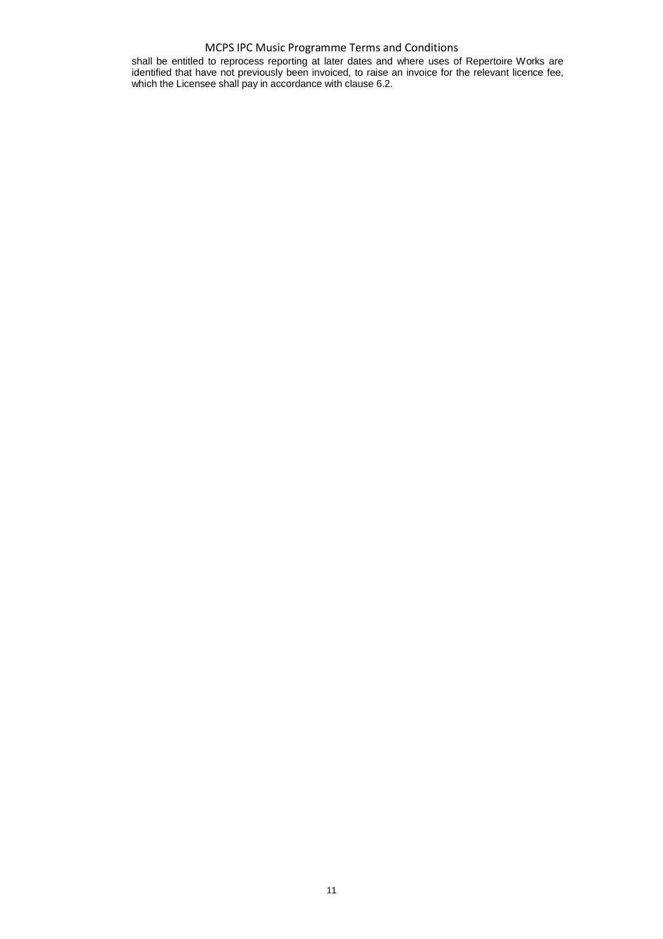## MCPS IPC Music Programme Terms and Conditions

shall be entitled to reprocess reporting at later dates and where uses of Repertoire Works are identified that have not previously been invoiced, to raise an invoice for the relevant licence fee, which the Licensee shall pay in accordance with clause 6.2.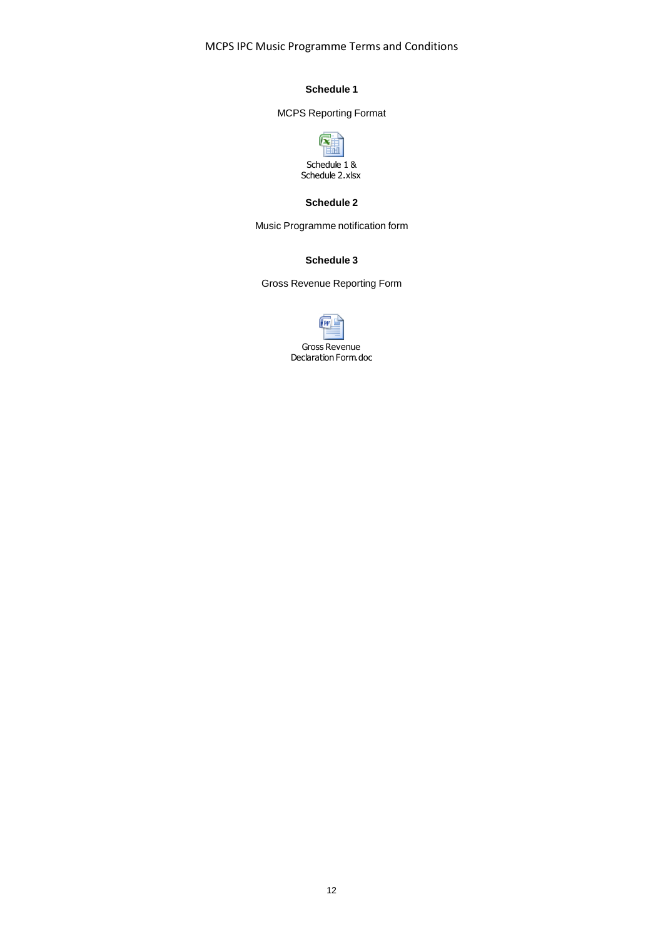MCPS IPC Music Programme Terms and Conditions

## **Schedule 1**

# MCPS Reporting Format



## **Schedule 2**

Music Programme notification form

## **Schedule 3**

Gross Revenue Reporting Form

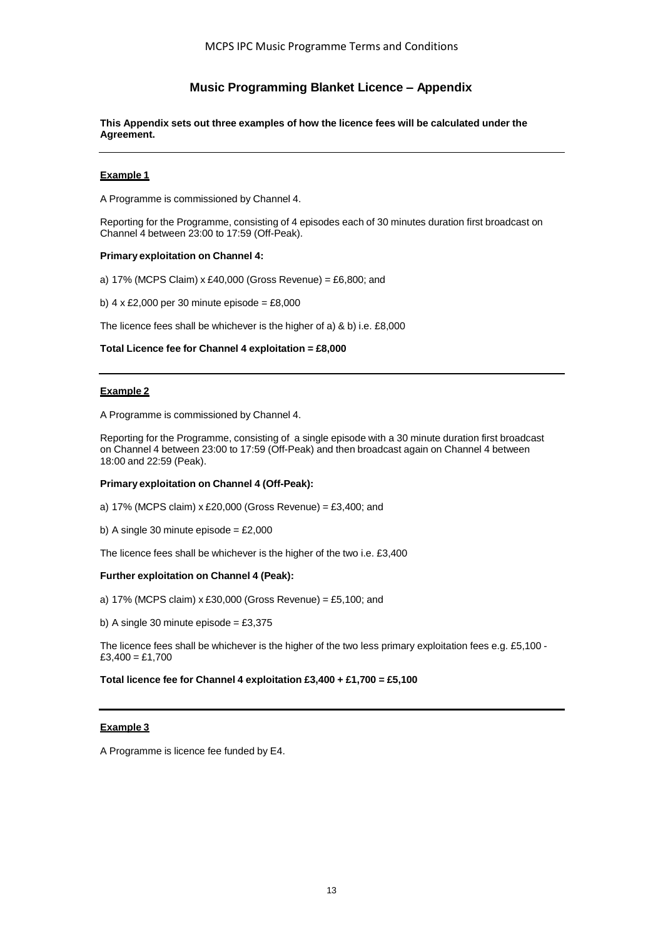# **Music Programming Blanket Licence – Appendix**

**This Appendix sets out three examples of how the licence fees will be calculated under the Agreement.**

## **Example 1**

A Programme is commissioned by Channel 4.

Reporting for the Programme, consisting of 4 episodes each of 30 minutes duration first broadcast on Channel 4 between 23:00 to 17:59 (Off-Peak).

## **Primary exploitation on Channel 4:**

a) 17% (MCPS Claim) x £40,000 (Gross Revenue) = £6,800; and

b)  $4 \times £2,000$  per 30 minute episode = £8,000

The licence fees shall be whichever is the higher of a) & b) i.e. £8,000

## **Total Licence fee for Channel 4 exploitation = £8,000**

## **Example 2**

A Programme is commissioned by Channel 4.

Reporting for the Programme, consisting of a single episode with a 30 minute duration first broadcast on Channel 4 between 23:00 to 17:59 (Off-Peak) and then broadcast again on Channel 4 between 18:00 and 22:59 (Peak).

## **Primary exploitation on Channel 4 (Off-Peak):**

a) 17% (MCPS claim) x £20,000 (Gross Revenue) = £3,400; and

b) A single 30 minute episode =  $£2,000$ 

The licence fees shall be whichever is the higher of the two i.e. £3,400

## **Further exploitation on Channel 4 (Peak):**

a) 17% (MCPS claim) x £30,000 (Gross Revenue) = £5,100; and

b) A single 30 minute episode =  $£3,375$ 

The licence fees shall be whichever is the higher of the two less primary exploitation fees e.g. £5,100 -  $£3,400 = £1,700$ 

## **Total licence fee for Channel 4 exploitation £3,400 + £1,700 = £5,100**

## **Example 3**

A Programme is licence fee funded by E4.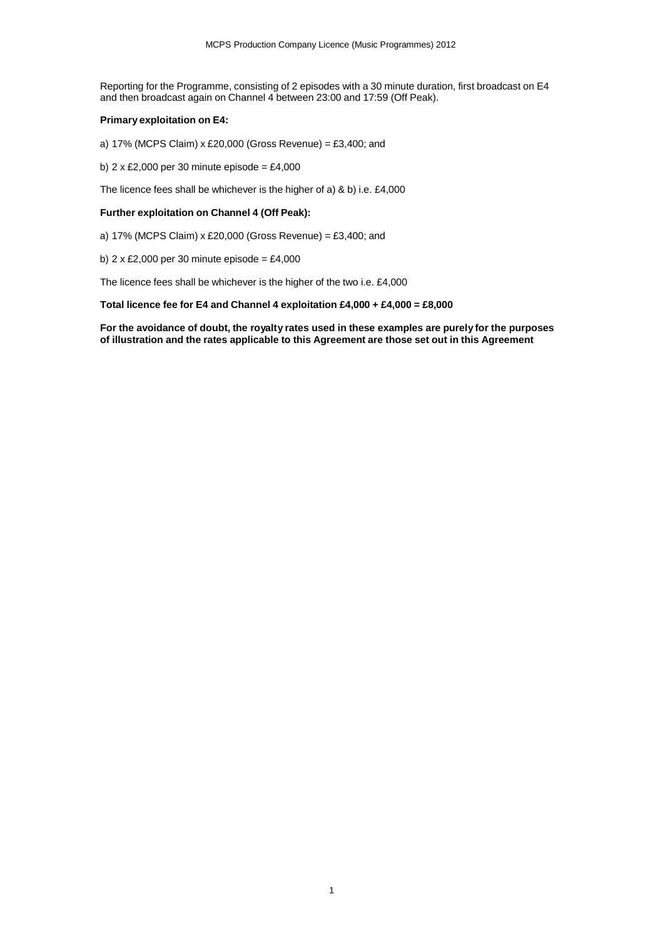Reporting for the Programme, consisting of 2 episodes with a 30 minute duration, first broadcast on E4 and then broadcast again on Channel 4 between 23:00 and 17:59 (Off Peak).

## **Primary exploitation on E4:**

a) 17% (MCPS Claim) x £20,000 (Gross Revenue) = £3,400; and

b)  $2 \times £2,000$  per 30 minute episode = £4,000

The licence fees shall be whichever is the higher of a) & b) i.e. £4,000

## **Further exploitation on Channel 4 (Off Peak):**

- a) 17% (MCPS Claim) x £20,000 (Gross Revenue) = £3,400; and
- b)  $2 \times \text{\pounds}2,000$  per 30 minute episode = £4,000

The licence fees shall be whichever is the higher of the two i.e. £4,000

## **Total licence fee for E4 and Channel 4 exploitation £4,000 + £4,000 = £8,000**

**For the avoidance of doubt, the royalty rates used in these examples are purely for the purposes of illustration and the rates applicable to this Agreement are those set out in this Agreement**